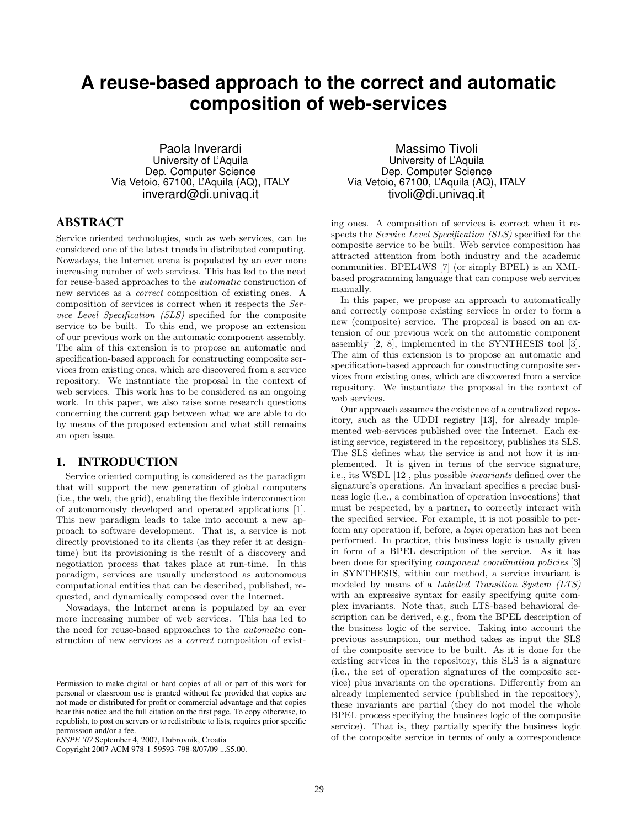# **A reuse-based approach to the correct and automatic composition of web-services**

Paola Inverardi University of L'Aquila Dep. Computer Science Via Vetoio, 67100, L'Aquila (AQ), ITALY inverard@di.univaq.it

## ABSTRACT

Service oriented technologies, such as web services, can be considered one of the latest trends in distributed computing. Nowadays, the Internet arena is populated by an ever more increasing number of web services. This has led to the need for reuse-based approaches to the automatic construction of new services as a correct composition of existing ones. A composition of services is correct when it respects the Service Level Specification (SLS) specified for the composite service to be built. To this end, we propose an extension of our previous work on the automatic component assembly. The aim of this extension is to propose an automatic and specification-based approach for constructing composite services from existing ones, which are discovered from a service repository. We instantiate the proposal in the context of web services. This work has to be considered as an ongoing work. In this paper, we also raise some research questions concerning the current gap between what we are able to do by means of the proposed extension and what still remains an open issue.

# 1. INTRODUCTION

Service oriented computing is considered as the paradigm that will support the new generation of global computers (i.e., the web, the grid), enabling the flexible interconnection of autonomously developed and operated applications [1]. This new paradigm leads to take into account a new approach to software development. That is, a service is not directly provisioned to its clients (as they refer it at designtime) but its provisioning is the result of a discovery and negotiation process that takes place at run-time. In this paradigm, services are usually understood as autonomous computational entities that can be described, published, requested, and dynamically composed over the Internet.

Nowadays, the Internet arena is populated by an ever more increasing number of web services. This has led to the need for reuse-based approaches to the automatic construction of new services as a correct composition of exist-

Copyright 2007 ACM 978-1-59593-798-8/07/09 ...\$5.00.

Massimo Tivoli University of L'Aquila Dep. Computer Science Via Vetoio, 67100, L'Aquila (AQ), ITALY tivoli@di.univaq.it

ing ones. A composition of services is correct when it respects the Service Level Specification (SLS) specified for the composite service to be built. Web service composition has attracted attention from both industry and the academic communities. BPEL4WS [7] (or simply BPEL) is an XMLbased programming language that can compose web services manually.

In this paper, we propose an approach to automatically and correctly compose existing services in order to form a new (composite) service. The proposal is based on an extension of our previous work on the automatic component assembly [2, 8], implemented in the SYNTHESIS tool [3]. The aim of this extension is to propose an automatic and specification-based approach for constructing composite services from existing ones, which are discovered from a service repository. We instantiate the proposal in the context of web services.

Our approach assumes the existence of a centralized repository, such as the UDDI registry [13], for already implemented web-services published over the Internet. Each existing service, registered in the repository, publishes its SLS. The SLS defines what the service is and not how it is implemented. It is given in terms of the service signature, i.e., its WSDL [12], plus possible invariants defined over the signature's operations. An invariant specifies a precise business logic (i.e., a combination of operation invocations) that must be respected, by a partner, to correctly interact with the specified service. For example, it is not possible to perform any operation if, before, a login operation has not been performed. In practice, this business logic is usually given in form of a BPEL description of the service. As it has been done for specifying component coordination policies [3] in SYNTHESIS, within our method, a service invariant is modeled by means of a Labelled Transition System (LTS) with an expressive syntax for easily specifying quite complex invariants. Note that, such LTS-based behavioral description can be derived, e.g., from the BPEL description of the business logic of the service. Taking into account the previous assumption, our method takes as input the SLS of the composite service to be built. As it is done for the existing services in the repository, this SLS is a signature (i.e., the set of operation signatures of the composite service) plus invariants on the operations. Differently from an already implemented service (published in the repository), these invariants are partial (they do not model the whole BPEL process specifying the business logic of the composite service). That is, they partially specify the business logic of the composite service in terms of only a correspondence

Permission to make digital or hard copies of all or part of this work for personal or classroom use is granted without fee provided that copies are not made or distributed for profit or commercial advantage and that copies bear this notice and the full citation on the first page. To copy otherwise, to republish, to post on servers or to redistribute to lists, requires prior specific permission and/or a fee.

*ESSPE '07* September 4, 2007, Dubrovnik, Croatia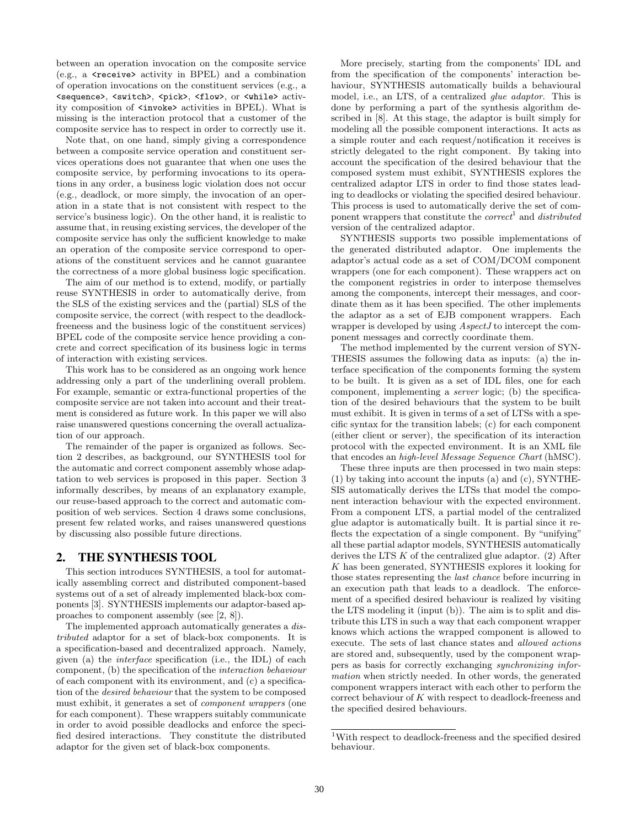between an operation invocation on the composite service (e.g., a  $\epsilon$  receive activity in BPEL) and a combination of operation invocations on the constituent services (e.g., a <sequence>, <switch>, <pick>, <flow>, or <while> activity composition of  $\langle$ invoke> activities in BPEL). What is missing is the interaction protocol that a customer of the composite service has to respect in order to correctly use it.

Note that, on one hand, simply giving a correspondence between a composite service operation and constituent services operations does not guarantee that when one uses the composite service, by performing invocations to its operations in any order, a business logic violation does not occur (e.g., deadlock, or more simply, the invocation of an operation in a state that is not consistent with respect to the service's business logic). On the other hand, it is realistic to assume that, in reusing existing services, the developer of the composite service has only the sufficient knowledge to make an operation of the composite service correspond to operations of the constituent services and he cannot guarantee the correctness of a more global business logic specification.

The aim of our method is to extend, modify, or partially reuse SYNTHESIS in order to automatically derive, from the SLS of the existing services and the (partial) SLS of the composite service, the correct (with respect to the deadlockfreeneess and the business logic of the constituent services) BPEL code of the composite service hence providing a concrete and correct specification of its business logic in terms of interaction with existing services.

This work has to be considered as an ongoing work hence addressing only a part of the underlining overall problem. For example, semantic or extra-functional properties of the composite service are not taken into account and their treatment is considered as future work. In this paper we will also raise unanswered questions concerning the overall actualization of our approach.

The remainder of the paper is organized as follows. Section 2 describes, as background, our SYNTHESIS tool for the automatic and correct component assembly whose adaptation to web services is proposed in this paper. Section 3 informally describes, by means of an explanatory example, our reuse-based approach to the correct and automatic composition of web services. Section 4 draws some conclusions, present few related works, and raises unanswered questions by discussing also possible future directions.

#### 2. THE SYNTHESIS TOOL

This section introduces SYNTHESIS, a tool for automatically assembling correct and distributed component-based systems out of a set of already implemented black-box components [3]. SYNTHESIS implements our adaptor-based approaches to component assembly (see [2, 8]).

The implemented approach automatically generates a *dis*tributed adaptor for a set of black-box components. It is a specification-based and decentralized approach. Namely, given (a) the interface specification (i.e., the IDL) of each component, (b) the specification of the interaction behaviour of each component with its environment, and (c) a specification of the desired behaviour that the system to be composed must exhibit, it generates a set of component wrappers (one for each component). These wrappers suitably communicate in order to avoid possible deadlocks and enforce the specified desired interactions. They constitute the distributed adaptor for the given set of black-box components.

More precisely, starting from the components' IDL and from the specification of the components' interaction behaviour, SYNTHESIS automatically builds a behavioural model, i.e., an LTS, of a centralized *qlue adaptor*. This is done by performing a part of the synthesis algorithm described in [8]. At this stage, the adaptor is built simply for modeling all the possible component interactions. It acts as a simple router and each request/notification it receives is strictly delegated to the right component. By taking into account the specification of the desired behaviour that the composed system must exhibit, SYNTHESIS explores the centralized adaptor LTS in order to find those states leading to deadlocks or violating the specified desired behaviour. This process is used to automatically derive the set of component wrappers that constitute the  $correct<sup>1</sup>$  and  $distributed$ version of the centralized adaptor.

SYNTHESIS supports two possible implementations of the generated distributed adaptor. One implements the adaptor's actual code as a set of COM/DCOM component wrappers (one for each component). These wrappers act on the component registries in order to interpose themselves among the components, intercept their messages, and coordinate them as it has been specified. The other implements the adaptor as a set of EJB component wrappers. Each wrapper is developed by using AspectJ to intercept the component messages and correctly coordinate them.

The method implemented by the current version of SYN-THESIS assumes the following data as inputs: (a) the interface specification of the components forming the system to be built. It is given as a set of IDL files, one for each component, implementing a server logic; (b) the specification of the desired behaviours that the system to be built must exhibit. It is given in terms of a set of LTSs with a specific syntax for the transition labels; (c) for each component (either client or server), the specification of its interaction protocol with the expected environment. It is an XML file that encodes an high-level Message Sequence Chart (hMSC).

These three inputs are then processed in two main steps: (1) by taking into account the inputs (a) and (c), SYNTHE-SIS automatically derives the LTSs that model the component interaction behaviour with the expected environment. From a component LTS, a partial model of the centralized glue adaptor is automatically built. It is partial since it reflects the expectation of a single component. By "unifying" all these partial adaptor models, SYNTHESIS automatically derives the LTS  $K$  of the centralized glue adaptor. (2) After K has been generated, SYNTHESIS explores it looking for those states representing the last chance before incurring in an execution path that leads to a deadlock. The enforcement of a specified desired behaviour is realized by visiting the LTS modeling it (input (b)). The aim is to split and distribute this LTS in such a way that each component wrapper knows which actions the wrapped component is allowed to execute. The sets of last chance states and allowed actions are stored and, subsequently, used by the component wrappers as basis for correctly exchanging synchronizing information when strictly needed. In other words, the generated component wrappers interact with each other to perform the correct behaviour of K with respect to deadlock-freeness and the specified desired behaviours.

<sup>1</sup>With respect to deadlock-freeness and the specified desired behaviour.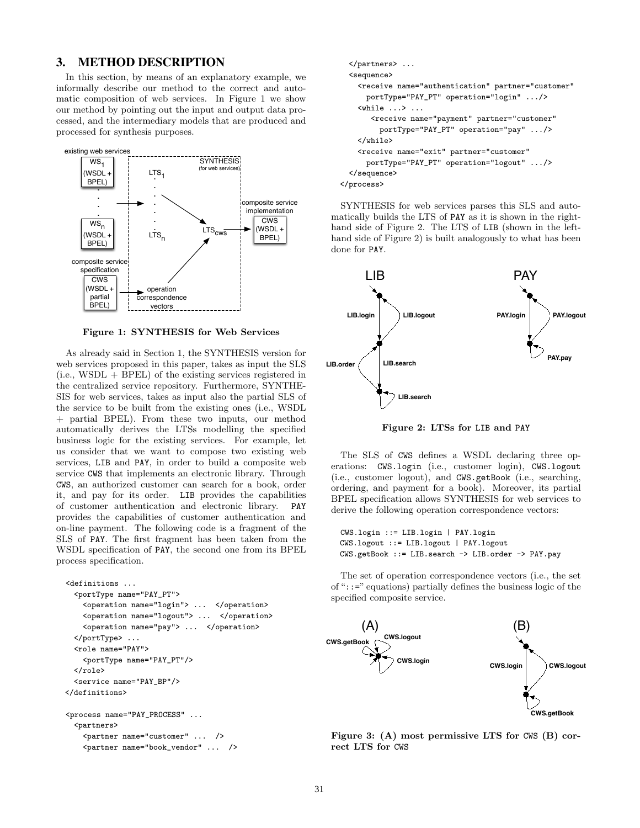#### 3. METHOD DESCRIPTION

In this section, by means of an explanatory example, we informally describe our method to the correct and automatic composition of web services. In Figure 1 we show our method by pointing out the input and output data processed, and the intermediary models that are produced and processed for synthesis purposes.



Figure 1: SYNTHESIS for Web Services

As already said in Section 1, the SYNTHESIS version for web services proposed in this paper, takes as input the SLS  $(i.e., WSDL + BPEL)$  of the existing services registered in the centralized service repository. Furthermore, SYNTHE-SIS for web services, takes as input also the partial SLS of the service to be built from the existing ones (i.e., WSDL + partial BPEL). From these two inputs, our method automatically derives the LTSs modelling the specified business logic for the existing services. For example, let us consider that we want to compose two existing web services, LIB and PAY, in order to build a composite web service CWS that implements an electronic library. Through CWS, an authorized customer can search for a book, order it, and pay for its order. LIB provides the capabilities of customer authentication and electronic library. PAY provides the capabilities of customer authentication and on-line payment. The following code is a fragment of the SLS of PAY. The first fragment has been taken from the WSDL specification of PAY, the second one from its BPEL process specification.

```
<definitions ...
  <portType name="PAY_PT">
    <operation name="login"> ... </operation>
    <operation name="logout"> ... </operation>
    <operation name="pay"> ... </operation>
  </portType> ...
  <role name="PAY">
    <portType name="PAY_PT"/>
  \langlerole>
  <service name="PAY_BP"/>
</definitions>
<process name="PAY_PROCESS" ...
  <partners>
    <partner name="customer" ... />
```

```
<partner name="book_vendor" ... />
```

```
</partners> ...
  <sequence>
    <receive name="authentication" partner="customer"
      portType="PAY_PT" operation="login" .../>
    \langlewhile \ldots> \ldots<receive name="payment" partner="customer"
         portType="PAY_PT" operation="pay" .../>
    </while>
    <receive name="exit" partner="customer"
      portType="PAY_PT" operation="logout" .../>
  </sequence>
</process>
```
SYNTHESIS for web services parses this SLS and automatically builds the LTS of PAY as it is shown in the righthand side of Figure 2. The LTS of LIB (shown in the lefthand side of Figure 2) is built analogously to what has been done for PAY.



Figure 2: LTSs for LIB and PAY

The SLS of CWS defines a WSDL declaring three operations: CWS.login (i.e., customer login), CWS.logout (i.e., customer logout), and CWS.getBook (i.e., searching, ordering, and payment for a book). Moreover, its partial BPEL specification allows SYNTHESIS for web services to derive the following operation correspondence vectors:

```
CWS.login ::= LIB.login | PAY.login
CWS.logout ::= LIB.logout | PAY.logout
CWS.getBook ::= LIB.search -> LIB.order -> PAY.pay
```
The set of operation correspondence vectors (i.e., the set of "::=" equations) partially defines the business logic of the specified composite service.



Figure 3: (A) most permissive LTS for CWS (B) correct LTS for CWS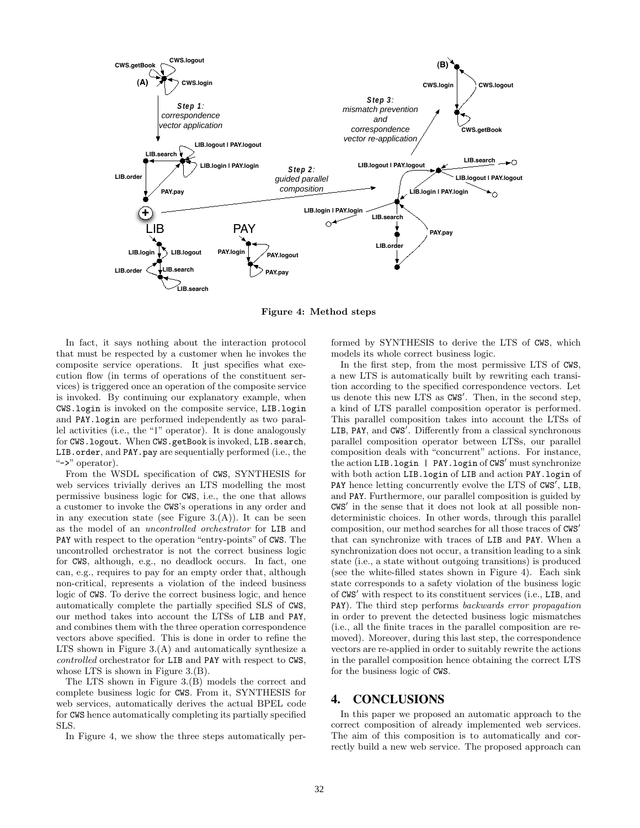

Figure 4: Method steps

In fact, it says nothing about the interaction protocol that must be respected by a customer when he invokes the composite service operations. It just specifies what execution flow (in terms of operations of the constituent services) is triggered once an operation of the composite service is invoked. By continuing our explanatory example, when CWS.login is invoked on the composite service, LIB.login and PAY.login are performed independently as two parallel activities (i.e., the "|" operator). It is done analogously for CWS.logout. When CWS.getBook is invoked, LIB.search, LIB.order, and PAY.pay are sequentially performed (i.e., the "->" operator).

From the WSDL specification of CWS, SYNTHESIS for web services trivially derives an LTS modelling the most permissive business logic for CWS, i.e., the one that allows a customer to invoke the CWS's operations in any order and in any execution state (see Figure 3. $(A)$ ). It can be seen as the model of an uncontrolled orchestrator for LIB and PAY with respect to the operation "entry-points" of CWS. The uncontrolled orchestrator is not the correct business logic for CWS, although, e.g., no deadlock occurs. In fact, one can, e.g., requires to pay for an empty order that, although non-critical, represents a violation of the indeed business logic of CWS. To derive the correct business logic, and hence automatically complete the partially specified SLS of CWS, our method takes into account the LTSs of LIB and PAY, and combines them with the three operation correspondence vectors above specified. This is done in order to refine the LTS shown in Figure 3.(A) and automatically synthesize a controlled orchestrator for LIB and PAY with respect to CWS, whose LTS is shown in Figure 3.(B).

The LTS shown in Figure 3.(B) models the correct and complete business logic for CWS. From it, SYNTHESIS for web services, automatically derives the actual BPEL code for CWS hence automatically completing its partially specified SLS.

In Figure 4, we show the three steps automatically per-

formed by SYNTHESIS to derive the LTS of CWS, which models its whole correct business logic.

In the first step, from the most permissive LTS of CWS, a new LTS is automatically built by rewriting each transition according to the specified correspondence vectors. Let us denote this new LTS as CWS'. Then, in the second step, a kind of LTS parallel composition operator is performed. This parallel composition takes into account the LTSs of LIB, PAY, and CWS'. Differently from a classical synchronous parallel composition operator between LTSs, our parallel composition deals with "concurrent" actions. For instance, the action LIB. login  $|$  PAY. login of CWS' must synchronize with both action LIB.login of LIB and action PAY.login of PAY hence letting concurrently evolve the LTS of CWS', LIB, and PAY. Furthermore, our parallel composition is guided by  $CWS'$  in the sense that it does not look at all possible nondeterministic choices. In other words, through this parallel composition, our method searches for all those traces of CWS<sup>'</sup> that can synchronize with traces of LIB and PAY. When a synchronization does not occur, a transition leading to a sink state (i.e., a state without outgoing transitions) is produced (see the white-filled states shown in Figure 4). Each sink state corresponds to a safety violation of the business logic of CWS' with respect to its constituent services (i.e., LIB, and PAY). The third step performs backwards error propagation in order to prevent the detected business logic mismatches (i.e., all the finite traces in the parallel composition are removed). Moreover, during this last step, the correspondence vectors are re-applied in order to suitably rewrite the actions in the parallel composition hence obtaining the correct LTS for the business logic of CWS.

#### 4. CONCLUSIONS

In this paper we proposed an automatic approach to the correct composition of already implemented web services. The aim of this composition is to automatically and correctly build a new web service. The proposed approach can